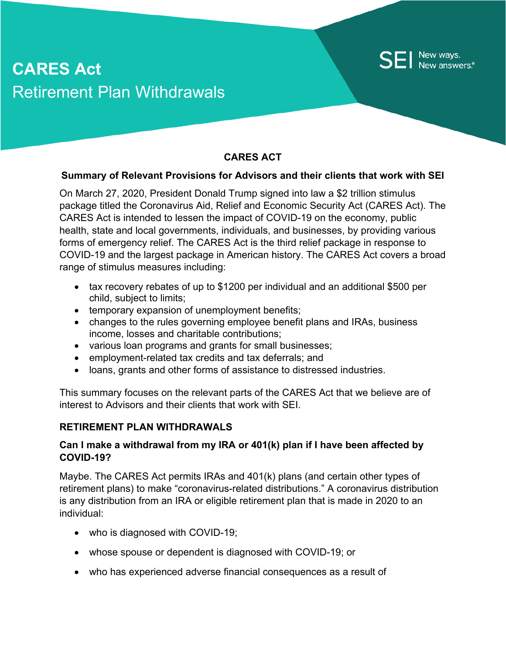# **CARES Act** Retirement Plan Withdrawals

## **CARES ACT**

New ways.<br>New answers.

#### **Summary of Relevant Provisions for Advisors and their clients that work with SEI**

On March 27, 2020, President Donald Trump signed into law a \$2 trillion stimulus package titled the Coronavirus Aid, Relief and Economic Security Act (CARES Act). The CARES Act is intended to lessen the impact of COVID-19 on the economy, public health, state and local governments, individuals, and businesses, by providing various forms of emergency relief. The CARES Act is the third relief package in response to COVID-19 and the largest package in American history. The CARES Act covers a broad range of stimulus measures including:

- tax recovery rebates of up to \$1200 per individual and an additional \$500 per child, subject to limits;
- temporary expansion of unemployment benefits;
- changes to the rules governing employee benefit plans and IRAs, business income, losses and charitable contributions;
- various loan programs and grants for small businesses;
- employment-related tax credits and tax deferrals; and
- loans, grants and other forms of assistance to distressed industries.

This summary focuses on the relevant parts of the CARES Act that we believe are of interest to Advisors and their clients that work with SEI.

#### **RETIREMENT PLAN WITHDRAWALS**

#### **Can I make a withdrawal from my IRA or 401(k) plan if I have been affected by COVID-19?**

Maybe. The CARES Act permits IRAs and 401(k) plans (and certain other types of retirement plans) to make "coronavirus-related distributions." A coronavirus distribution is any distribution from an IRA or eligible retirement plan that is made in 2020 to an individual:

- who is diagnosed with COVID-19;
- whose spouse or dependent is diagnosed with COVID-19; or
- who has experienced adverse financial consequences as a result of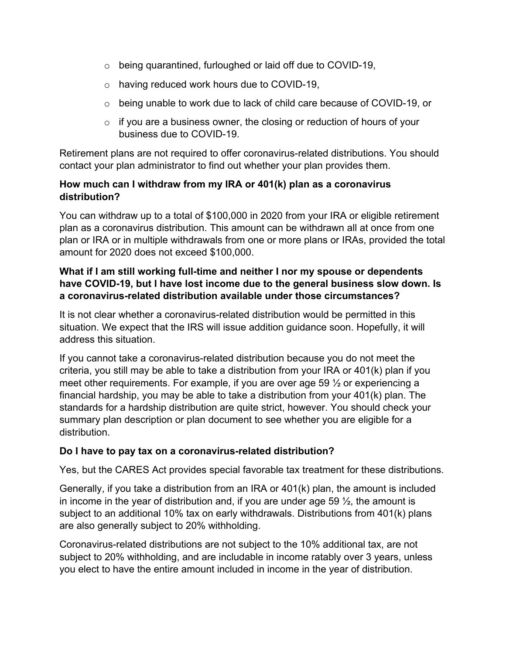- o being quarantined, furloughed or laid off due to COVID-19,
- o having reduced work hours due to COVID-19,
- o being unable to work due to lack of child care because of COVID-19, or
- $\circ$  if you are a business owner, the closing or reduction of hours of your business due to COVID-19.

Retirement plans are not required to offer coronavirus-related distributions. You should contact your plan administrator to find out whether your plan provides them.

#### **How much can I withdraw from my IRA or 401(k) plan as a coronavirus distribution?**

You can withdraw up to a total of \$100,000 in 2020 from your IRA or eligible retirement plan as a coronavirus distribution. This amount can be withdrawn all at once from one plan or IRA or in multiple withdrawals from one or more plans or IRAs, provided the total amount for 2020 does not exceed \$100,000.

## **What if I am still working full-time and neither I nor my spouse or dependents have COVID-19, but I have lost income due to the general business slow down. Is a coronavirus-related distribution available under those circumstances?**

It is not clear whether a coronavirus-related distribution would be permitted in this situation. We expect that the IRS will issue addition guidance soon. Hopefully, it will address this situation.

If you cannot take a coronavirus-related distribution because you do not meet the criteria, you still may be able to take a distribution from your IRA or 401(k) plan if you meet other requirements. For example, if you are over age 59  $\frac{1}{2}$  or experiencing a financial hardship, you may be able to take a distribution from your 401(k) plan. The standards for a hardship distribution are quite strict, however. You should check your summary plan description or plan document to see whether you are eligible for a distribution.

## **Do I have to pay tax on a coronavirus-related distribution?**

Yes, but the CARES Act provides special favorable tax treatment for these distributions.

Generally, if you take a distribution from an IRA or 401(k) plan, the amount is included in income in the year of distribution and, if you are under age 59  $\frac{1}{2}$ , the amount is subject to an additional 10% tax on early withdrawals. Distributions from 401(k) plans are also generally subject to 20% withholding.

Coronavirus-related distributions are not subject to the 10% additional tax, are not subject to 20% withholding, and are includable in income ratably over 3 years, unless you elect to have the entire amount included in income in the year of distribution.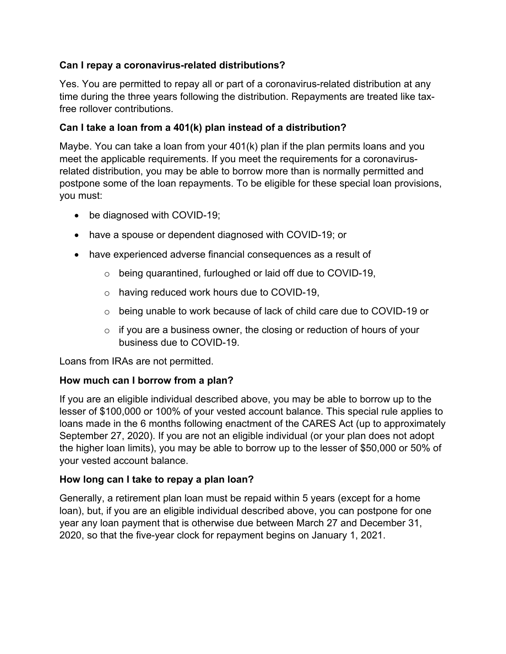## **Can I repay a coronavirus-related distributions?**

Yes. You are permitted to repay all or part of a coronavirus-related distribution at any time during the three years following the distribution. Repayments are treated like taxfree rollover contributions.

## **Can I take a loan from a 401(k) plan instead of a distribution?**

Maybe. You can take a loan from your 401(k) plan if the plan permits loans and you meet the applicable requirements. If you meet the requirements for a coronavirusrelated distribution, you may be able to borrow more than is normally permitted and postpone some of the loan repayments. To be eligible for these special loan provisions, you must:

- be diagnosed with COVID-19;
- have a spouse or dependent diagnosed with COVID-19; or
- have experienced adverse financial consequences as a result of
	- o being quarantined, furloughed or laid off due to COVID-19,
	- o having reduced work hours due to COVID-19,
	- $\circ$  being unable to work because of lack of child care due to COVID-19 or
	- $\circ$  if you are a business owner, the closing or reduction of hours of your business due to COVID-19.

Loans from IRAs are not permitted.

## **How much can I borrow from a plan?**

If you are an eligible individual described above, you may be able to borrow up to the lesser of \$100,000 or 100% of your vested account balance. This special rule applies to loans made in the 6 months following enactment of the CARES Act (up to approximately September 27, 2020). If you are not an eligible individual (or your plan does not adopt the higher loan limits), you may be able to borrow up to the lesser of \$50,000 or 50% of your vested account balance.

## **How long can I take to repay a plan loan?**

Generally, a retirement plan loan must be repaid within 5 years (except for a home loan), but, if you are an eligible individual described above, you can postpone for one year any loan payment that is otherwise due between March 27 and December 31, 2020, so that the five-year clock for repayment begins on January 1, 2021.